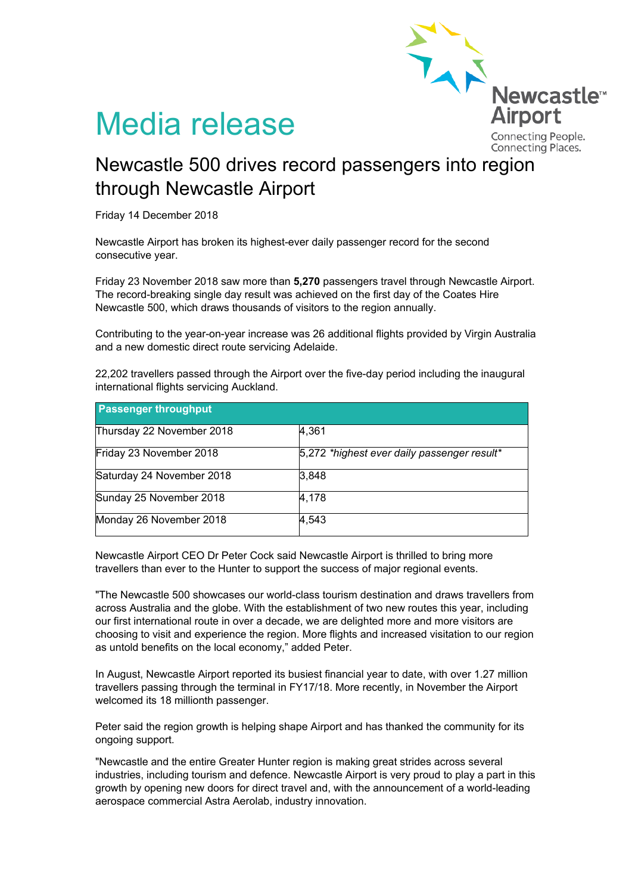

## Media release

Connecting Places.

## Newcastle 500 drives record passengers into region through Newcastle Airport

Friday 14 December 2018

Newcastle Airport has broken its highest-ever daily passenger record for the second consecutive year.

Friday 23 November 2018 saw more than **5,270** passengers travel through Newcastle Airport. The record-breaking single day result was achieved on the first day of the Coates Hire Newcastle 500, which draws thousands of visitors to the region annually.

Contributing to the year-on-year increase was 26 additional flights provided by Virgin Australia and a new domestic direct route servicing Adelaide.

22,202 travellers passed through the Airport over the five-day period including the inaugural international flights servicing Auckland.

| <b>Passenger throughput</b> |                                             |
|-----------------------------|---------------------------------------------|
| Thursday 22 November 2018   | 4,361                                       |
| Friday 23 November 2018     | 5,272 *highest ever daily passenger result* |
| Saturday 24 November 2018   | 3,848                                       |
| Sunday 25 November 2018     | 4,178                                       |
| Monday 26 November 2018     | 4,543                                       |

Newcastle Airport CEO Dr Peter Cock said Newcastle Airport is thrilled to bring more travellers than ever to the Hunter to support the success of major regional events.

"The Newcastle 500 showcases our world-class tourism destination and draws travellers from across Australia and the globe. With the establishment of two new routes this year, including our first international route in over a decade, we are delighted more and more visitors are choosing to visit and experience the region. More flights and increased visitation to our region as untold benefits on the local economy," added Peter.

In August, Newcastle Airport reported its busiest financial year to date, with over 1.27 million travellers passing through the terminal in FY17/18. More recently, in November the Airport welcomed its 18 millionth passenger.

Peter said the region growth is helping shape Airport and has thanked the community for its ongoing support.

"Newcastle and the entire Greater Hunter region is making great strides across several industries, including tourism and defence. Newcastle Airport is very proud to play a part in this growth by opening new doors for direct travel and, with the announcement of a world-leading aerospace commercial Astra Aerolab, industry innovation.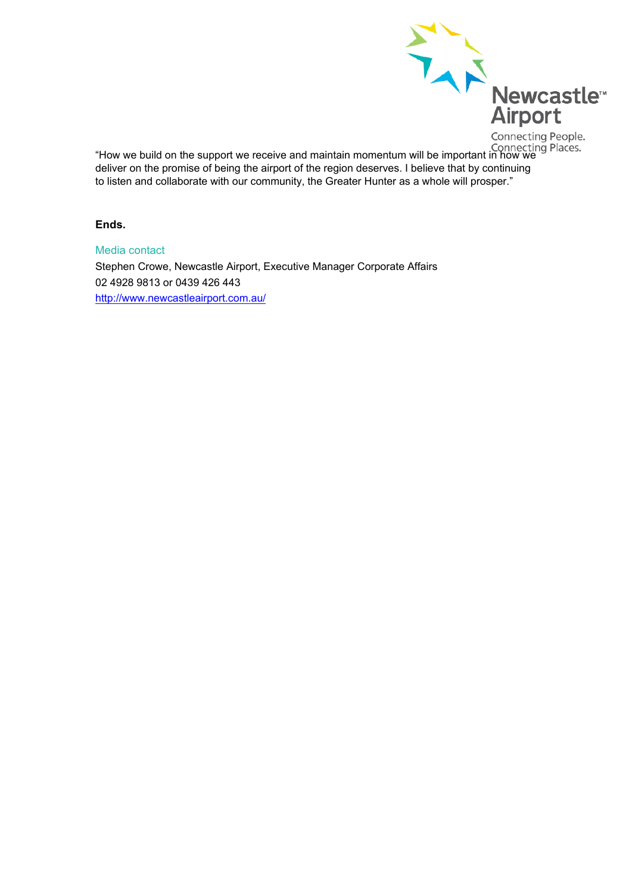

"How we build on the support we receive and maintain momentum will be important in how we<br>"How we build on the support we receive and maintain momentum will be important in how we deliver on the promise of being the airport of the region deserves. I believe that by continuing to listen and collaborate with our community, the Greater Hunter as a whole will prosper."

## **Ends.**

Media contact Stephen Crowe, Newcastle Airport, Executive Manager Corporate Affairs 02 4928 9813 or 0439 426 443 <http://www.newcastleairport.com.au/>